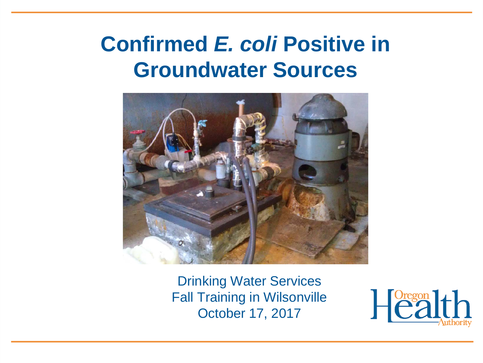#### **Confirmed** *E. coli* **Positive in Groundwater Sources**



Drinking Water Services Fall Training in Wilsonville October 17, 2017

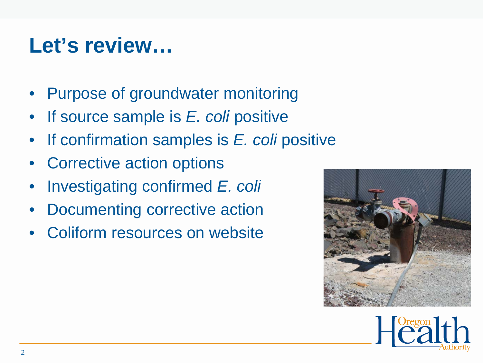#### **Let's review…**

- Purpose of groundwater monitoring
- If source sample is *E. coli* positive
- If confirmation samples is *E. coli* positive
- Corrective action options
- Investigating confirmed *E. coli*
- Documenting corrective action
- Coliform resources on website



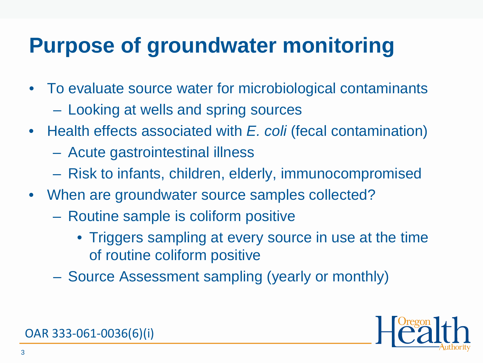# **Purpose of groundwater monitoring**

- To evaluate source water for microbiological contaminants – Looking at wells and spring sources
- Health effects associated with *E. coli* (fecal contamination)
	- Acute gastrointestinal illness
	- Risk to infants, children, elderly, immunocompromised
- When are groundwater source samples collected?
	- Routine sample is coliform positive
		- Triggers sampling at every source in use at the time of routine coliform positive
	- Source Assessment sampling (yearly or monthly)

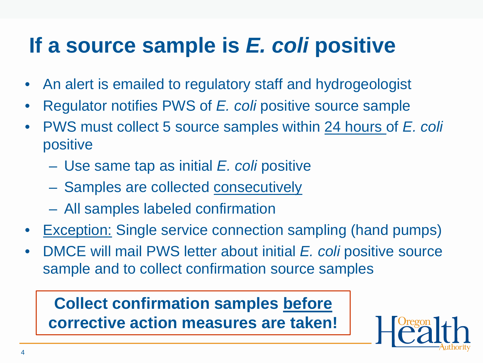# **If a source sample is** *E. coli* **positive**

- An alert is emailed to regulatory staff and hydrogeologist
- Regulator notifies PWS of *E. coli* positive source sample
- PWS must collect 5 source samples within 24 hours of *E. coli* positive
	- Use same tap as initial *E. coli* positive
	- Samples are collected consecutively
	- All samples labeled confirmation
- **Exception: Single service connection sampling (hand pumps)**
- DMCE will mail PWS letter about initial *E. coli* positive source sample and to collect confirmation source samples

**Collect confirmation samples before corrective action measures are taken!**

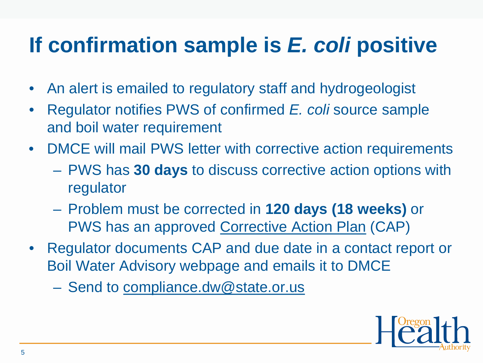# **If confirmation sample is** *E. coli* **positive**

- An alert is emailed to regulatory staff and hydrogeologist
- Regulator notifies PWS of confirmed *E. coli* source sample and boil water requirement
- DMCE will mail PWS letter with corrective action requirements
	- PWS has **30 days** to discuss corrective action options with regulator
	- Problem must be corrected in **120 days (18 weeks)** or PWS has an approved Corrective Action Plan (CAP)
- Regulator documents CAP and due date in a contact report or Boil Water Advisory webpage and emails it to DMCE
	- Send to compliance.dw@state.or.us

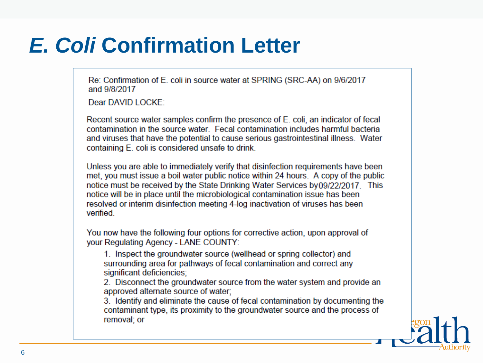## *E. Coli* **Confirmation Letter**

Re: Confirmation of E. coli in source water at SPRING (SRC-AA) on 9/6/2017 and 9/8/2017

Dear DAVID LOCKE:

Recent source water samples confirm the presence of E. coli, an indicator of fecal contamination in the source water. Fecal contamination includes harmful bacteria and viruses that have the potential to cause serious gastrointestinal illness. Water containing E. coli is considered unsafe to drink.

Unless you are able to immediately verify that disinfection requirements have been met, you must issue a boil water public notice within 24 hours. A copy of the public notice must be received by the State Drinking Water Services by 09/22/2017. This notice will be in place until the microbiological contamination issue has been resolved or interim disinfection meeting 4-log inactivation of viruses has been verified

You now have the following four options for corrective action, upon approval of your Regulating Agency - LANE COUNTY:

1. Inspect the groundwater source (wellhead or spring collector) and surrounding area for pathways of fecal contamination and correct any significant deficiencies;

2. Disconnect the groundwater source from the water system and provide an approved alternate source of water;

3. Identify and eliminate the cause of fecal contamination by documenting the contaminant type, its proximity to the groundwater source and the process of removal; or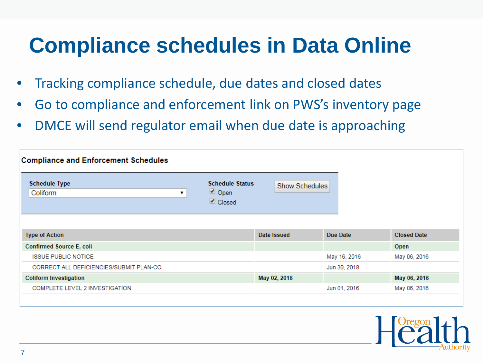#### **Compliance schedules in Data Online**

- Tracking compliance schedule, due dates and closed dates
- Go to compliance and enforcement link on PWS's inventory page
- DMCE will send regulator email when due date is approaching

| <b>Compliance and Enforcement Schedules</b> |                                                 |                       |              |                    |
|---------------------------------------------|-------------------------------------------------|-----------------------|--------------|--------------------|
| <b>Schedule Type</b><br>Coliform<br>▼       | <b>Schedule Status</b><br>$\Box$ Open<br>Closed | <b>Show Schedules</b> |              |                    |
| <b>Type of Action</b>                       |                                                 | Date Issued           | Due Date     | <b>Closed Date</b> |
| <b>Confirmed Source E. coli</b>             |                                                 |                       |              | Open               |
| <b>ISSUE PUBLIC NOTICE</b>                  |                                                 |                       | May 16, 2016 | May 06, 2016       |
| CORRECT ALL DEFICIENCIES/SUBMIT PLAN-CO.    |                                                 |                       | Jun 30, 2018 |                    |
|                                             |                                                 | May 02, 2016          |              | May 06, 2016       |
| <b>Coliform Investigation</b>               |                                                 |                       |              |                    |

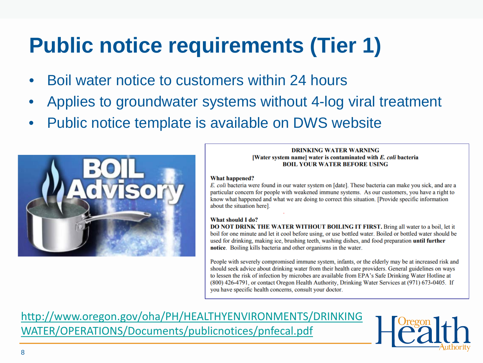## **Public notice requirements (Tier 1)**

- Boil water notice to customers within 24 hours
- Applies to groundwater systems without 4-log viral treatment
- Public notice template is available on DWS website



#### **DRINKING WATER WARNING** [Water system name] water is contaminated with E. coli bacteria **BOIL YOUR WATER BEFORE USING**

#### **What happened?**

E. coli bacteria were found in our water system on [date]. These bacteria can make you sick, and are a particular concern for people with weakened immune systems. As our customers, you have a right to know what happened and what we are doing to correct this situation. [Provide specific information about the situation herel.

#### What should I do?

**DO NOT DRINK THE WATER WITHOUT BOILING IT FIRST.** Bring all water to a boil, let it boil for one minute and let it cool before using, or use bottled water. Boiled or bottled water should be used for drinking, making ice, brushing teeth, washing dishes, and food preparation until further notice. Boiling kills bacteria and other organisms in the water.

People with severely compromised immune system, infants, or the elderly may be at increased risk and should seek advice about drinking water from their health care providers. General guidelines on ways to lessen the risk of infection by microbes are available from EPA's Safe Drinking Water Hotline at (800) 426-4791, or contact Oregon Health Authority, Drinking Water Services at (971) 673-0405. If you have specific health concerns, consult your doctor.

[http://www.oregon.gov/oha/PH/HEALTHYENVIRONMENTS/DRINKING](http://www.oregon.gov/oha/PH/HEALTHYENVIRONMENTS/DRINKINGWATER/OPERATIONS/Documents/publicnotices/pnfecal.pdf) WATER/OPERATIONS/Documents/publicnotices/pnfecal.pdf

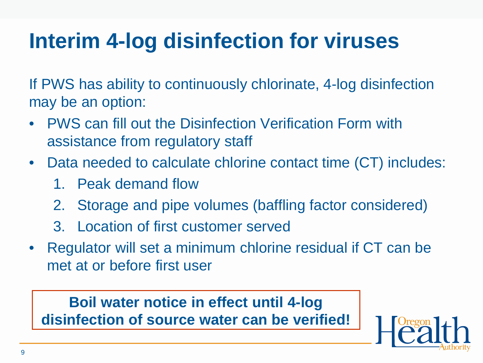# **Interim 4-log disinfection for viruses**

If PWS has ability to continuously chlorinate, 4-log disinfection may be an option:

- PWS can fill out the Disinfection Verification Form with assistance from regulatory staff
- Data needed to calculate chlorine contact time (CT) includes:
	- 1. Peak demand flow
	- 2. Storage and pipe volumes (baffling factor considered)
	- 3. Location of first customer served
- Regulator will set a minimum chlorine residual if CT can be met at or before first user

**Boil water notice in effect until 4-log disinfection of source water can be verified!**

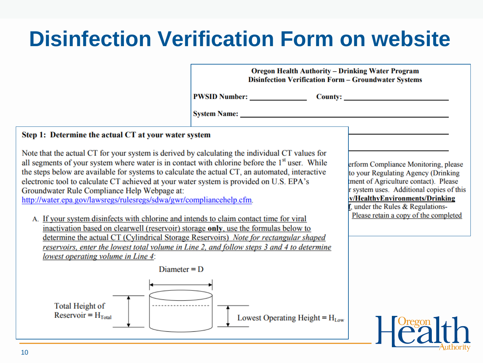## **Disinfection Verification Form on website**

|                                                                                                                                                                                                                                                                                                                                                                                                                                                                                                                                                                                                                                                                                                                                                                                                                                                                                                                                                 | <b>Oregon Health Authority - Drinking Water Program</b><br><b>Disinfection Verification Form - Groundwater Systems</b> |                                     |                                                                                                                                                                                                                                                                                 |
|-------------------------------------------------------------------------------------------------------------------------------------------------------------------------------------------------------------------------------------------------------------------------------------------------------------------------------------------------------------------------------------------------------------------------------------------------------------------------------------------------------------------------------------------------------------------------------------------------------------------------------------------------------------------------------------------------------------------------------------------------------------------------------------------------------------------------------------------------------------------------------------------------------------------------------------------------|------------------------------------------------------------------------------------------------------------------------|-------------------------------------|---------------------------------------------------------------------------------------------------------------------------------------------------------------------------------------------------------------------------------------------------------------------------------|
|                                                                                                                                                                                                                                                                                                                                                                                                                                                                                                                                                                                                                                                                                                                                                                                                                                                                                                                                                 | <b>PWSID Number:</b>                                                                                                   |                                     | County:                                                                                                                                                                                                                                                                         |
|                                                                                                                                                                                                                                                                                                                                                                                                                                                                                                                                                                                                                                                                                                                                                                                                                                                                                                                                                 |                                                                                                                        | <b>System Name:</b> System Name:    |                                                                                                                                                                                                                                                                                 |
| Step 1: Determine the actual CT at your water system                                                                                                                                                                                                                                                                                                                                                                                                                                                                                                                                                                                                                                                                                                                                                                                                                                                                                            |                                                                                                                        |                                     |                                                                                                                                                                                                                                                                                 |
| Note that the actual CT for your system is derived by calculating the individual CT values for<br>all segments of your system where water is in contact with chlorine before the 1 <sup>st</sup> user. While<br>the steps below are available for systems to calculate the actual CT, an automated, interactive<br>electronic tool to calculate CT achieved at your water system is provided on U.S. EPA's<br>Groundwater Rule Compliance Help Webpage at:<br>http://water.epa.gov/lawsregs/rulesregs/sdwa/gwr/compliancehelp.cfm.<br>A. If your system disinfects with chlorine and intends to claim contact time for viral<br>inactivation based on clearwell (reservoir) storage only, use the formulas below to<br>determine the actual CT (Cylindrical Storage Reservoirs) Note for rectangular shaped<br>reservoirs, enter the lowest total volume in Line 2, and follow steps 3 and 4 to determine<br>lowest operating volume in Line 4: |                                                                                                                        |                                     | erform Compliance Monitoring, please<br>to your Regulating Agency (Drinking<br>ment of Agriculture contact). Please<br>r system uses. Additional copies of this<br>v/HealthyEnvironments/Drinking<br>f, under the Rules & Regulations-<br>Please retain a copy of the completed |
| Diameter $= D$                                                                                                                                                                                                                                                                                                                                                                                                                                                                                                                                                                                                                                                                                                                                                                                                                                                                                                                                  |                                                                                                                        |                                     |                                                                                                                                                                                                                                                                                 |
| Total Height of<br>$Reservoir = HTotal$                                                                                                                                                                                                                                                                                                                                                                                                                                                                                                                                                                                                                                                                                                                                                                                                                                                                                                         |                                                                                                                        | Lowest Operating Height = $H_{Low}$ |                                                                                                                                                                                                                                                                                 |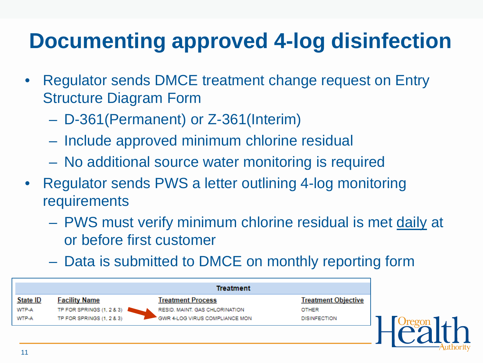# **Documenting approved 4-log disinfection**

- Regulator sends DMCE treatment change request on Entry Structure Diagram Form
	- D-361(Permanent) or Z-361(Interim)
	- Include approved minimum chlorine residual
	- No additional source water monitoring is required
- Regulator sends PWS a letter outlining 4-log monitoring **requirements** 
	- PWS must verify minimum chlorine residual is met daily at or before first customer
	- Data is submitted to DMCE on monthly reporting form

|                 |                               | <b>Treatment</b>               |                            |
|-----------------|-------------------------------|--------------------------------|----------------------------|
| <b>State ID</b> | <b>Facility Name</b>          | <b>Treatment Process</b>       | <b>Treatment Objective</b> |
| WTP-A           | TP FOR SPRINGS $(1, 2, 8, 3)$ | RESID, MAINT, GAS CHLORINATION | <b>OTHER</b>               |
| WTP-A           | TP FOR SPRINGS (1, 2 & 3)     | GWR 4-LOG VIRUS COMPLIANCE MON | <b>DISINFECTION</b>        |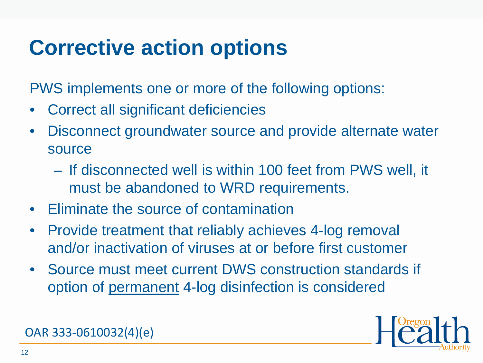#### **Corrective action options**

PWS implements one or more of the following options:

- Correct all significant deficiencies
- Disconnect groundwater source and provide alternate water source
	- If disconnected well is within 100 feet from PWS well, it must be abandoned to WRD requirements.
- Eliminate the source of contamination
- Provide treatment that reliably achieves 4-log removal and/or inactivation of viruses at or before first customer
- Source must meet current DWS construction standards if option of permanent 4-log disinfection is considered



OAR 333-0610032(4)(e)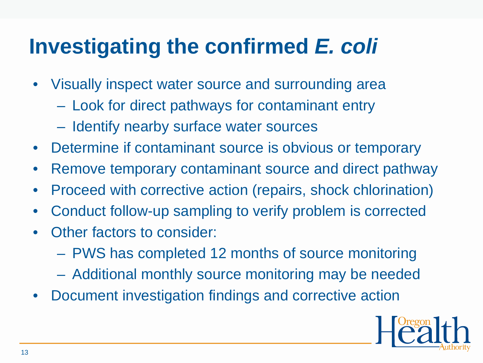## **Investigating the confirmed** *E. coli*

- Visually inspect water source and surrounding area
	- Look for direct pathways for contaminant entry
	- Identify nearby surface water sources
- Determine if contaminant source is obvious or temporary
- Remove temporary contaminant source and direct pathway
- Proceed with corrective action (repairs, shock chlorination)
- Conduct follow-up sampling to verify problem is corrected
- Other factors to consider:
	- PWS has completed 12 months of source monitoring
	- Additional monthly source monitoring may be needed
- Document investigation findings and corrective action

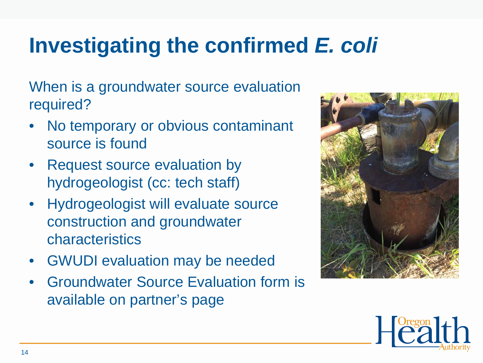# **Investigating the confirmed** *E. coli*

When is a groundwater source evaluation required?

- No temporary or obvious contaminant source is found
- Request source evaluation by hydrogeologist (cc: tech staff)
- Hydrogeologist will evaluate source construction and groundwater characteristics
- GWUDI evaluation may be needed
- Groundwater Source Evaluation form is available on partner's page



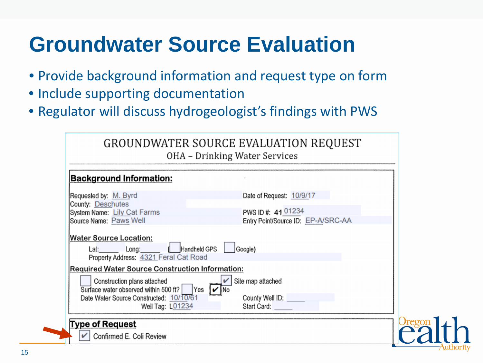## **Groundwater Source Evaluation**

- Provide background information and request type on form
- Include supporting documentation
- Regulator will discuss hydrogeologist's findings with PWS

|                                                                                      | GROUNDWATER SOURCE EVALUATION REQUEST<br><b>OHA</b> - Drinking Water Services |  |
|--------------------------------------------------------------------------------------|-------------------------------------------------------------------------------|--|
| <b>Background Information:</b>                                                       |                                                                               |  |
| Requested by: M. Byrd                                                                | Date of Request: 10/9/17                                                      |  |
| County: Deschutes<br>System Name: Lily Cat Farms                                     | PWS ID #: 41 01234                                                            |  |
| Source Name: Paws Well                                                               | Entry Point/Source ID: EP-A/SRC-AA                                            |  |
| <b>Water Source Location:</b><br>Lat: Long:<br>Property Address: 4321 Feral Cat Road | Handheld GPS<br>Google)                                                       |  |
| <b>Required Water Source Construction Information:</b>                               |                                                                               |  |
| Construction plans attached<br>Surface water observed within 500 ft?   Yes   v No    | Site map attached                                                             |  |
| Date Water Source Constructed: 10/10/61<br>Well Tag: L01234                          | County Well ID:<br>Start Card:                                                |  |
| <b>Type of Request</b>                                                               |                                                                               |  |
| Confirmed E. Coli Review                                                             |                                                                               |  |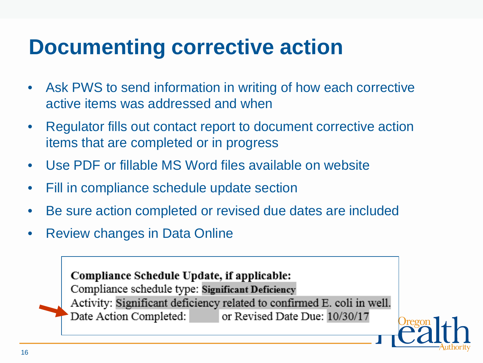#### **Documenting corrective action**

- Ask PWS to send information in writing of how each corrective active items was addressed and when
- Regulator fills out contact report to document corrective action items that are completed or in progress
- Use PDF or fillable MS Word files available on website
- Fill in compliance schedule update section
- Be sure action completed or revised due dates are included
- Review changes in Data Online

Compliance Schedule Update, if applicable: Compliance schedule type: Significant Deficiency Activity: Significant deficiency related to confirmed E. coli in well. Date Action Completed: or Revised Date Due: 10/30/17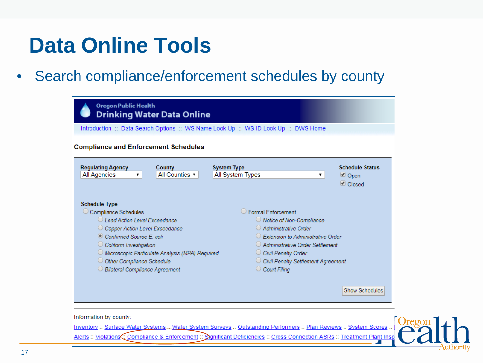#### **Data Online Tools**

• Search compliance/enforcement schedules by county

| <b>Compliance and Enforcement Schedules</b>                                                                                                                                                                                                                           |                                                   | Introduction :: Data Search Options :: WS Name Look Up :: WS ID Look Up :: DWS Home                                                                                                                                                            |                                          |
|-----------------------------------------------------------------------------------------------------------------------------------------------------------------------------------------------------------------------------------------------------------------------|---------------------------------------------------|------------------------------------------------------------------------------------------------------------------------------------------------------------------------------------------------------------------------------------------------|------------------------------------------|
| <b>Regulating Agency</b><br>All Agencies<br>7                                                                                                                                                                                                                         | County<br>All Counties                            | <b>System Type</b><br>All System Types                                                                                                                                                                                                         | <b>Schedule Status</b><br>Open<br>Closed |
| <b>Schedule Type</b><br><b>Compliance Schedules</b><br>$\bigcirc$ Lead Action Level Exceedance<br>Copper Action Level Exceedance<br>© Confirmed Source E_coli<br>$\bigcirc$ Coliform Investigation<br>O Other Compliance Schedule<br>O Bilateral Compliance Agreement | O Microscopic Particulate Analysis (MPA) Required | ◯ Formal Enforcement<br>$\bigcirc$ Notice of Non-Compliance<br>$\bigcirc$ Administrative Order<br>$\circlearrowright$ Extension to Administrative Order<br>O Administrative Order Settlement<br>Civil Penalty Order<br>$\bigcirc$ Court Filing | O Civil Penalty Settlement Agreement     |
|                                                                                                                                                                                                                                                                       |                                                   |                                                                                                                                                                                                                                                | <b>Show Schedules</b>                    |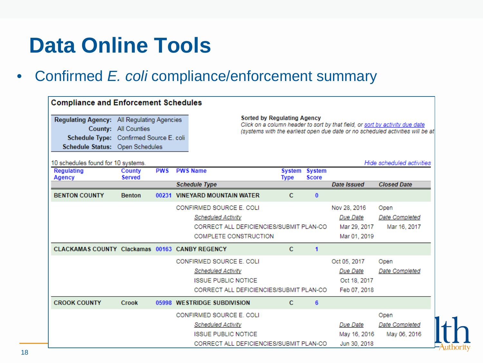#### **Data Online Tools**

#### • Confirmed *E. coli* compliance/enforcement summary

#### **Compliance and Enforcement Schedules Sorted by Regulating Agency** Regulating Agency: All Regulating Agencies Click on a column header to sort by that field, or sort by activity due date County: All Counties (systems with the earliest open due date or no scheduled activities will be at Schedule Type: Confirmed Source E. coli Schedule Status: Open Schedules 10 schedules found for 10 systems. Hide scheduled activities System System Regulating County **PWS PWS Name Served** Agency **Type Score Schedule Type Date Issued Closed Date BENTON COUNTY Benton** 00231 VINEYARD MOUNTAIN WATER  $\mathbf C$  $\mathbf{0}$ CONFIRMED SOURCE E. COLI Nov 28, 2016 Open **Scheduled Activity** Due Date **Date Completed** CORRECT ALL DEFICIENCIES/SUBMIT PLAN-CO Mar 29, 2017 Mar 16, 2017 **COMPLETE CONSTRUCTION** Mar 01, 2019 **CLACKAMAS COUNTY Clackamas 00163 CANBY REGENCY** C.  $\mathbf{1}$ CONFIRMED SOURCE E. COLL Oct 05, 2017 Open **Scheduled Activity** Due Date Date Completed **ISSUE PUBLIC NOTICE** Oct 18, 2017 CORRECT ALL DEFICIENCIES/SUBMIT PLAN-CO Feb 07, 2018 **CROOK COUNTY Crook** 05998 WESTRIDGE SUBDIVISION  $\mathbf{C}$ 6 CONFIRMED SOURCE E. COLI Open **Scheduled Activity** Due Date Date Completed **ISSUE PUBLIC NOTICE** May 16, 2016 May 06, 2016 CORRECT ALL DEFICIENCIES/SUBMIT PLAN-CO Jun 30, 2018

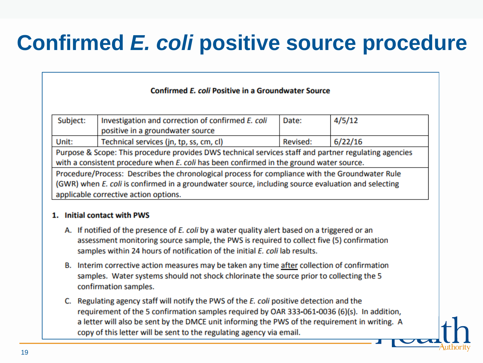## **Confirmed** *E. coli* **positive source procedure**

#### **Confirmed E. coli Positive in a Groundwater Source**

| Subject:                                                                                              | Investigation and correction of confirmed E. coli   | Date: | 4/5/12  |  |
|-------------------------------------------------------------------------------------------------------|-----------------------------------------------------|-------|---------|--|
|                                                                                                       | positive in a groundwater source                    |       |         |  |
| Unit:                                                                                                 | Technical services (jn, tp, ss, cm, cl)<br>Revised: |       | 6/22/16 |  |
| Purpose & Scope: This procedure provides DWS technical services staff and partner regulating agencies |                                                     |       |         |  |
| with a consistent procedure when E. coli has been confirmed in the ground water source.               |                                                     |       |         |  |
| Procedure/Process: Describes the chronological process for compliance with the Groundwater Rule       |                                                     |       |         |  |
| (GWR) when E. coli is confirmed in a groundwater source, including source evaluation and selecting    |                                                     |       |         |  |
| applicable corrective action options.                                                                 |                                                     |       |         |  |

#### 1. Initial contact with PWS

- A. If notified of the presence of E. coli by a water quality alert based on a triggered or an assessment monitoring source sample, the PWS is required to collect five (5) confirmation samples within 24 hours of notification of the initial E. coli lab results.
- B. Interim corrective action measures may be taken any time after collection of confirmation samples. Water systems should not shock chlorinate the source prior to collecting the 5 confirmation samples.
- C. Regulating agency staff will notify the PWS of the E. coli positive detection and the requirement of the 5 confirmation samples required by OAR 333-061-0036 (6)(s). In addition, a letter will also be sent by the DMCE unit informing the PWS of the requirement in writing. A copy of this letter will be sent to the regulating agency via email.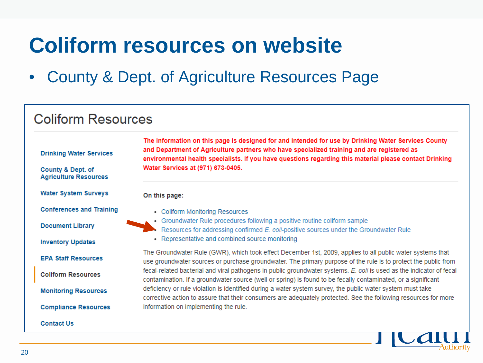#### **Coliform resources on website**

• County & Dept. of Agriculture Resources Page

#### **Coliform Resources**

#### **Drinking Water Services**

**County & Dept. of Agriculture Resources** 

**Water System Surveys** 

**Conferences and Training** 

**Document Library** 

**Inventory Updates** 

**EPA Staff Resources** 

**Coliform Resources** 

**Monitoring Resources** 

**Compliance Resources** 

**Contact Us** 

The information on this page is designed for and intended for use by Drinking Water Services County and Department of Agriculture partners who have specialized training and are registered as environmental health specialists. If you have questions regarding this material please contact Drinking Water Services at (971) 673-0405.

On this page:

- Coliform Monitoring Resources
- Groundwater Rule procedures following a positive routine coliform sample
- Resources for addressing confirmed E. coli-positive sources under the Groundwater Rule
- Representative and combined source monitoring

The Groundwater Rule (GWR), which took effect December 1st, 2009, applies to all public water systems that use groundwater sources or purchase groundwater. The primary purpose of the rule is to protect the public from fecal-related bacterial and viral pathogens in public groundwater systems. E. coli is used as the indicator of fecal contamination. If a groundwater source (well or spring) is found to be fecally contaminated, or a significant deficiency or rule violation is identified during a water system survey, the public water system must take corrective action to assure that their consumers are adequately protected. See the following resources for more information on implementing the rule.

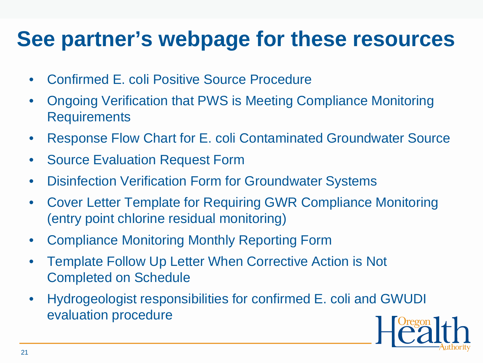#### **See partner's webpage for these resources**

- Confirmed E. coli Positive Source Procedure
- Ongoing Verification that PWS is Meeting Compliance Monitoring **Requirements**
- Response Flow Chart for E. coli Contaminated Groundwater Source
- Source Evaluation Request Form
- Disinfection Verification Form for Groundwater Systems
- Cover Letter Template for Requiring GWR Compliance Monitoring (entry point chlorine residual monitoring)
- Compliance Monitoring Monthly Reporting Form
- Template Follow Up Letter When Corrective Action is Not Completed on Schedule
- Hydrogeologist responsibilities for confirmed E. coli and GWUDI evaluation procedure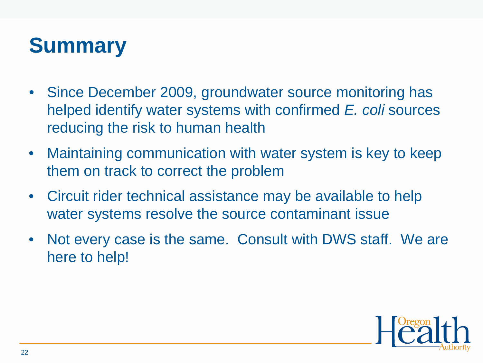#### **Summary**

- Since December 2009, groundwater source monitoring has helped identify water systems with confirmed *E. coli* sources reducing the risk to human health
- Maintaining communication with water system is key to keep them on track to correct the problem
- Circuit rider technical assistance may be available to help water systems resolve the source contaminant issue
- Not every case is the same. Consult with DWS staff. We are here to help!